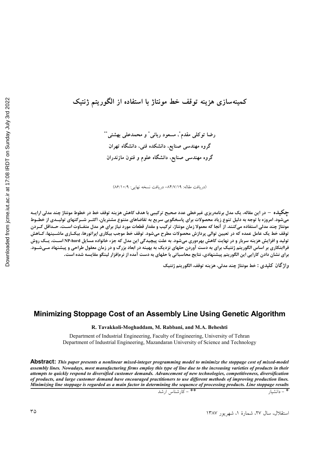رضا توكلي مقدم ْ، مسعود رباني ْ و محمدعلى بهشتى ْ ْ گروه مهندسی صنایع، دانشکده فنی، دانشگاه تهران گروه مهندسی صنایع، دانشگاه علوم و فنون مازندران

(دريافت مقاله: ٨۴/٧/١٩- دريافت نسخه نهايي: ٨۶/١٥/٩)

چکیده – در این مقاله، یک مدل برنامهریزی غیرخطی عدد صحیح ترکیبی با هدف کاهش هزینه توقف خط در خطوط مونتاژ چند مدلی ارایــه .<br>میشود. امروزه با توجه به دلیل تنوع زیاد محصولات برای پاسخگویی سریع به تقاضاهای متنوع مشتریان، اکثــر شــرکتهای تولیــدی از خطــوط مونتاژ چند مدلی استفاده میکنند. از آنجا که معمولا زمان مونتاژ، ترکیب و مقدار قطعات مورد نیاز برای هر مدل متفـاوت اســت، حــداقل کــردن .<br>توقف خط یک عامل عمده که در تعیین توالی پردازش محصولات مطرح میشود. توقف خط موجب بیکاری اپراتورها، بیکـاری ماشــینها، کــاهش تولید و افزایش هزینه سربار و در نهایت کاهش بهرهوری میشود. به علت پیچیدگی این مدل که جزء خانواده مسایل NP-hard اسـت، یــک روش فراابتکاری بر اساس الگوریتم ژنتیک برای به دست آوردن حلهای نزدیک به بهینه در ابعاد بزرگ و در زمان معقول طراحی و پیشنهاد مــیشــود. برای نشان دادن کارایی این الگوریتم پیشنهادی، نتایج محاسباتی با حلهای به دست آمده از نرمافزار لینگو مقایسه شده است.

واژ گان کليدي : خط مونتاژ چند مدلي، هزينه توقف، الڳوريتم ژنتيک

### Minimizing Stoppage Cost of an Assembly Line Using Genetic Algorithm

R. Tavakkoli-Moghaddam, M. Rabbani, and M.A. Beheshti

Department of Industrial Engineering, Faculty of Engineering, University of Tehran Department of Industrial Engineering, Mazandaran University of Science and Technology

**Abstract:** This paper presents a nonlinear mixed-integer programming model to minimize the stoppage cost of mixed-model assembly lines. Nowadays, most manufacturing firms employ this type of line due to the increasing varieties of products in their attempts to quickly respond to diversified customer demands. Advancement of new technologies, competitiveness, diversification of products, and large customer demand have encouraged practitioners to use different methods of improving production lines. Minimizing line stoppage is regarded as a main factor in determining the sequence of processing products. Line stoppage results

\*\* – كارشناس ارشد

\* - دانشيار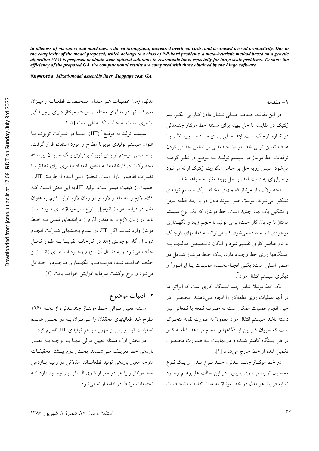in idleness of operators and machines, reduced throughput, increased overhead costs, and decreased overall productivity. Due to the complexity of the model proposed, which belongs to a class of NP-hard problems, a meta-heuristic method based on a genetic algorithm (GA) is proposed to obtain near-optimal solutions in reasonable time, especially for large-scale problems. To show the efficiency of the proposed GA, the computational results are compared with those obtained by the Lingo software.

Keywords: Mixed-model assembly lines, Stoppage cost, GA.

۱ – مقدمه

در اين مقالــه، هــدف اصــلي نــشان دادن كــارايي الگــوريتم ژنتیک در مقایسه با حل بهینه برای مسئله خط مونتاژ چندمدلی در اندازه کوچک است. ابتدا مدلی برای مسئله مورد نظر با هدف تعیین توالی خط مونتاژ چندمدلی بر اساس حداقل کردن توقفات خط مونتاژ در سیستم تولیــد بــه موقــع در نظـر گرفتــه می شود. سپس رویه حل بر اساس الگوریتم ژنتیک ارائه می شود و جوابهای به دست آمده با حل بهینه مقایسه خواهد شد.

محصولات، از مونتاژ قسمتهای مختلف یک سیستم تولیدی تشکیل می شوند. مونتاژ، عمل پیوند دادن دو یا چند قطعه مجزا و تشکیل یک نهاد جدید است. خط مونتاژ، که یک نوع سیستم مونتاژ با جریان کار است، برای تولید با حجم زیاد و نگهــداری موجودی کم استفاده می شود. کار می تواند به فعالیتهای کوچک به نام عناصر کاری تقسیم شود و امکان تخـصیص فعالیتهـا بــه ایستگاهها روی خط وجـود دارد، یـک خـط مونتـاژ شـامل دو عنصر اصلي است: يکـي انجـام‹هنـده عمليـات يـا اپراتـور` و دیگری سیستم انتقال مواد ً.

یک خط مونتاژ شامل چند ایستگاه کاری است که ایراتورها در آنها عملیات روی قطعهکار را انجام مـی۵هنـد. محـصول در حین انجام عملیات ممکن است به مصرف قطعه یا قطعاتی نیاز داشته باشد. سیستم انتقال مواد معمولاً به صورت نقاله متحـرک است که جریان کار بین ایستگاهها را انجام میدهد. قطعـه کـار در هر ایستگاه کاملتر شـده و در نهایـت بـه صـورت محـصول تكميل شده از خط خارج مي شود [۱].

در خط مونتاژ چند مدلی، چند نوع مدل از یک نوع محصول توليد مي شود. بنابراين در اين حالت علي رغـم وجـود تشابه فرایند هر مدل در خط مونتاژ به علت تفاوت مشخـصات

مدلها، زمان عملیــات هــر مــدل، مشخــصات قطعــات و میــزان مصرف آنها در مدلهای مختلف، سیستم مونتاژ دارای پیچیــدگی بیشتری نسبت به حالت تک مدلی است [او۲]. سیستم تولید به موقـع ٌ (JIT)، ابتـدا در شــرکت تویوتــا بــا عنوان سیستم تولیدی تویوتا مطرح و مورد استفاده قرار گرفت. ایده اصلی سیستم تولیدی تویوتا برقراری یک جریـان پیوسـته محصولات دركارخانهها به منظور انعطاف پذیری برای تطابق بـا تغییرات تقاضای بازار است. تحقـق ایـن ایـده از طریـق JIT و اطمینان از کیفیت میسر است. تولید JIT به این معنی است ک اقلام لازم را به مقدار لازم و در زمان لازم تولید کنیم. به عنوان مثال در فرایند مونتاژ اتومبیل ،انواع زیر مونتاژهـای مـورد نیـاز باید در زمان لازم و به مقدار لازم از فرایندهای قبلـی بـه خـط مونتاژ وارد شوند. اگر JIT در تمـام بخـشهای شـرکت انجـام شود آن گاه موجودی زائد در کارخانــه تقریبــا بــه طــور کامــل حذف می شود و به دنبـال آن لـزوم وجـود انبارهـای زائــد نيـز حذف خواهـد شـد، هزينـههـاي نگهـداري موجـودي حـداقل می شود و نرخ برگشت سرمایه افزایش خواهد یافت [٢].

۲– ادبیات موضوع

مسئله تعیین توالی خط مونتاژ چندمللی، از دهـه ۱۹۶۰ مطرح شد. فعالیتهای محققان را مبی تـوان بــه دو بخـش عمــده تحقیقات قبل و پس از ظهور سیستم تولیدی JIT تقسیم کرد.

در بخش اول، مسئله تعیین توالی تنهـا بـا توجـه بـه معيـار بازدهی خط تعریـف مـیشـدند. بخـش دوم بیـشتر تحقیقـات متوجه معیار بازدهی تولید قطعاتاند. مقالاتی در زمینه بـازدهی خط مونتاژ و یا هر دو معیـار فـوق الــذکر نیــز وجــود دارد کــه تحقیقات مرتبط در ادامه ارائه می شود.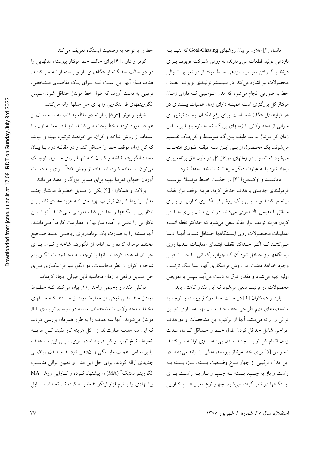ماندن [۲] علاوه بر بیان روشهای Goal-Chasing که تنهـا بــه بازدهی تولید قطعات میپردازند، به روش شـرکت توپوتـا بـرای درنظـر گــرفتن معيــار بــازدهي خــط مونتــاژ در تعيــين تــوالي محصولات نیز اشاره میکند. در سیستم تولیـدی تویوتـا، تعـادل خط به صورتی انجام میشود که مدل اتـومبیلی کـه دارای زمـان مونتاژ کل بزرگتری است همیشه دارای زمان عملیات بیــشتری در هر فرایند (ایستگاه) خط است. برای رفع امکـان ایجـاد ترتیبهـای متوالی از محصولاتی با زمانهای بزرگ، تمـام اتومبیلهـا براسـاس زمان کل مونتاژ به سه طبقــه بــزرگ، متوســط و کوچـک تقــسیم مي شوند. يك محصول از بـين ايـن سـه طبقـه طـوري انتخـاب می شود که تعدیل در زمانهای مونتاژ کل در طول افق برنامهریزی ايجاد شود يا به عبارت ديگر سرعت ثابت خط حفظ شود.

ياماشيها و اوكامورا [٣] در حالـت خـط مونتــاژ پيوســته فرمولبندي جديدي با هدف حداقل كردن هزينه توقف نوار نقالـه ارائه میکننـد و سـپس یـک روش فراابتکـاری کـارایی را بـرای مسائل با مقیاس بالا معرفی میکنند. در ایــن مــدل بــرای حــداقل كردن هزينه توقف نوار نقاله سعى مى شود كه حداكثر نقطه اتمـام عمليـات محـصولات روى ايـستگاهها حـداقل شـود. أنهـا ادعـا مبی کننــد کــه اگــر حــداکثر نقطــه ابتــدای عملیــات مــدلها روی ایستگاهها نیز حداقل شود آن گاه جواب یکسانی بـا حالـت قبـل وجود خواهد داشت. در روش فراابتکاری آنها، ابتدا یک ترتیب اوليه تهيه مي شود و مقدار فوق به دست مي آيد. سپس با تعويض محصولات در ترتیب سعی میشود که این مقدار کاهش یابد.

بارد و همکاران [۴] در حالت خط مونتاژ پیوسته با توجه به مشخصههای مهم طراحی خط، چند مـدل بهینـهسـازی تعیـین توالی را ارائه می کنند. آنها از ترکیب این مشخصات و دو هدف طراحي شامل حداقل كردن طول خبط و حيداقل كبردن ميدت زمان اتمام کل تولیـد چنـد مـدل بهینـهسـازی ارائـه مـیکننـد. تامپولس [۵] برای خط مونتاژ پیوسته، مدلی را ارائه می دهد. در این مدل، ترکیبی از چهار نـوع وضـعیت بـسته، بـاز، بـسته بـه راست و باز به چـپ، بـسته بـه چـپ و بـاز بـه راسـت بـراي ایستگاهها در نظر گرفته می شود. چهار نوع معیار عـدم کـارایی

خط را با توجه به وضعیت ایستگاه تعریف میکند.

کوتر و دارل [۶] برای حالت خط مونتاژ پیوسته، مدلهایی را در دو حالت جداگانه ایستگاههای باز و بـسته ارائـه مـیکننـد. هدف مدل آنها این است کـه بـرای یـک تقاضـای مـشخص، ترتیبی به دست آورند که طول خط مونتاژ حداقل شود. سـیس الگوریتمهای فراابتکاریی را برای حل مدلها ارائه میکنند.

خيابو و اونو [⁄و^] با ارائه دو مقاله به فاصـله سـه سـال از هم در مورد توقف خط بحث مـي كننــد. آنهــا در مقالــه اول بــا استفاده از روش شاخه و کران، می خواهند ترتیب بهینهای بیابند که کل زمان توقف خط را حداقل کند و در مقالـه دوم بــا بيــان مجدد الگوریتم شاخه و کـران کــه تنهــا بــرای مــسایل کوچـک می توان اســتفاده کــرد، اســتفاده از روش SA<sup>۴</sup> بــرای بــه دســت آوردن حلهای تقریبا بهینه برای مسایل بزرگ را مفید می<mark>دانند.</mark>

بولات و همکاران [۹] یکی از مسایل خطـوط مونتـاژ چنـد مدلی را پیدا کردن ترتیب بهینـهای کـه هزینـههـای ناشـی از .<br>ناکارایی ایستگاهها را حداقل کند، معرفـی مـیکننـد. آنهـا ایــن ناکارایی را ناشی از آماده سازیها<sup>۵</sup> و مطلوبیت کارها<sup>۶</sup> مـیcداننــد. ۔<br>آنها مسئله را به صورت یک برنامهریزی ریاضـی عــدد صــحیح مختلط فرموله کرده و در ادامه از الگوریتم شاخه و کـران بــرای حل آن استفاده کردهاند. آنها با توجه بــه محــدوديت الگــوريتم شاخه و کران از نظر محاسبات، دو الگوریتم فراابتکـاری بــرای حل مسایل واقعی با زمان محاسبه قابل قبولی ایجاد کردهاند.

توكلي مقدم و رحيمي واحد [١٠] بيان مي كنند كـه خطـوط مونتاژ چند مدلی نوعی از خطوط مونتـاژ هـستند کـه مـدلهای مختلف محصولات با مشخصات مشابه در سیستم تولیـدی JIT مونتاژ می شوند. آنها سه هدف را به طور همزمان بررسی کردند که این سه هدف عبارتاند از : کل هزینه کار مفید، کـل هزینــه انحراف نرخ تولید و کل هزینه آمادهسازی. سپس این سه هدف را بر اساس اهمیت وابستگی وزندهی کردنـد و مـدل ریاضـی جدیدی ارائه کردند. برای حل این مدل و تعیین توالی مناسب الگوریتم ممتیک<sup>۷</sup> (MA) را پیشنهاد کـرده و کــارایی روش MA پیشنهادی را با نرمافزار لینگو ۶ مقایسه کردهاند. تعـداد مـسایل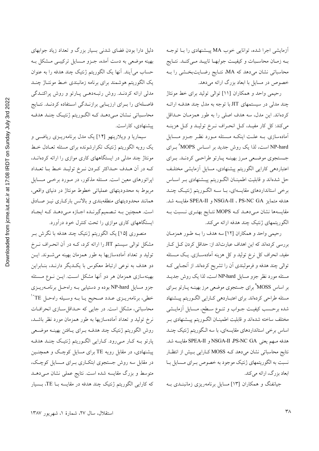آزمایشی اجرا شده، توانایی خوب MA پیـشنهادی را بـا توجـه بـه زمـان محاسـبات و كيفيـت جوابهـا تاييـد مـىكنـد. نتـايج محاسباتی نشان میدهد که MA، نتـایج رضـایتبخـشی را بــه خصوص در مسایل با ابعاد بزرگ ارائه میدهد.

رحيمي واحد و همكاران [١١] توالي توليد براي خط مونتاژ چند مدل<sub>ی</sub> در سیستمهای JIT با توجه به مدل چند هدف ارائ كردهاند. اين مدل، سه هدف اصلي را به طور همزمـان حـداقل می کند: کل کار مفیـد، کـل انحـراف نـرخ تولیـد و کـل هزینـه آماده سازی. بـه علـت اینکـه مـسئله مـورد نظـر جـزو مـسایل NP-hard است، لذا یک روش جدید بر اســاس MOPS^ بــرای جستجوي موضعي مرز بهينـه پـارتو طراحـي كردنـد. بـراي اعتباردهی کارایی الگوریتم پیشنهادی، مسایل آزمایشی مختلـف حل شدهاند و قابلیت اطمینــان الگــوریتم پیــشنهادی بــر اســاس برخی استانداردهای مقایسهای، بـا سـه الگـوریتم ژنتیـک چنـد هدفه متمايز PS-NC GA ، NSGA-II و SPEA-II مقايسه شد. مقایسهها نشان مـیدهـد کـه MOPS نتـایج بهتـری نـسبت بـه الگوریتمهای ژنتیک چند هدفه ارائه میکند.

رحيمي واحد و همكاران [١٢] سه هدف را بـه طـور همزمـان بررسی کردهاند که این اهداف عبارتاند از: حداقل کردن کـل کـار مفید، انحراف کل نرخ تولید و کل هزینه آمادهسـازی. یـک مـسئله توالی چند هدفه و فرمولبندی آن را تشریح کردهاند. از آنجایی ک مسئله مورد نظر جزو مسایل NP-hard است، لذا یک روش جدیــد بر اساس MOSS° برای جستجوی موضعی مرز بهینـه پــارتو بــرای مسئله طراحي كردهاند. براي اعتبــاردهي كــارايي الگــوريتم پيــشنهاد شده برحسب كيفيت جــواب و تنــوع ســطح، مــسايل آزمايــشى مختلف ساخته شدهاند و قابليت اطمينــان الگــوريتم پيـــشنهادی بــر اساس برخی استانداردهای مقایسهای، با سه الگوریتم ژنتیک چنـد هدفه مسهم يعني NSGA-II ،PS-NC GA و SPEA-II مقايسه شد. نتایج محاسباتی نشان میدهد کـه MOSS کـارایی بـیش از انتظـار نسبت به الگوریتمهای ژنتیک موجود به خصوص بـرای مـسایل بـا ابعاد بزرگ، ارائه می کند.

جیانفنگ و همکاران [۱۳] مسایل برنامهریزی زمانبنـدی بـه

دلیل دارا بودن فضای شدنی بسیار بزرگ و تعداد زیاد جوابهای بهینه موضعی به دست آمده، جـزو مـسایل ترکیبـی مـشکل بـه حساب میآیند. آنها یک الگوریتم ژنتیک چند هدفه را به عنوان یک الگوریتم هوشمند برای برنامه زمانبندی خط مونتـاژ چنـد .<br>مدلی ارائه کردنــد. روش رتبــهدهــی پــارتو و روش پراکنــدگی فاصلهای را بـرای ارزیـابی برازنـدگی اسـتفاده کردنـد. نتـایج محاسـباتي نــشان مــي(هــد كــه الگــوريتم ژنتيـك چنــد هدفــه پیشنهادی، کاراست.

سیماریا و ویلارینهو [۱۴] یک مدل برنامهریـزی ریاضـی و یک رویه الگوریتم ژنتیک تکرارشونده برای مسئله تعـادل خـط مونتاژ چند مدلی در ایستگاههای کاری موازی را ارائه کردهانــد، كـه در أن هـدف حـداكثر كـردن نـرخ توليـد خـط بـا تعـداد اپراتورهای معین است. مسئله مذکور، در مـورد برخــی مــسایل مربوط به محدودیتهای عملیاتی خطوط مونتاژ در دنیای واقعی، همانند محدودیتهای منطقهبندی و بالانس بارکـاری نیـز صـادق است. همچنین بـه تـصمیمگیرنـده اجـازه مـیدهـد کـه ایجـاد ایستگاههای کاری موازی را تحت کنترل خود درآورد.

منصوري [۱۵] يک الگوريتم ژنتيک چند هدفه با نگرش بـر مشکل توالی سیستم JIT را ارائه کرد، کـه در آن انحـراف نــرخ تولید و تعداد آمادهسازیها به طور همزمان بهینه می شـوند. ایـن دو هدف به نوعی ارتباط معکوس با یک دیگر دارنـد، بنـابراین بهینهسازی همزمان هر دو آنها مشکل است. ایــن نــوع مــسئله جزو مسایل NP-hard بوده و دستیابی بـه راهحـل برنامــهریــزی خطي، برنامهريــزي عــدد صــحيح يــا بــه وســيله راهحـل TE°` محاسباتی، مشکل است. در جایی که حـداقلسـازی انحرافـات نرخ تولید و تعداد آمادهسازیها به طور همزمان مورد نظر باشـد، روش الگوريتم ژنتيک چند هدف ببراي پافتن بهينـه موضـعي پارتو بـه کـار مـی(ود. کـارایی الگـوریتم ژنتیـک چنـد هدفـه پیشنهادی، در مقابل رویه TE برای مسایل کوچک و همچنـین در مقابل سه روش جستجوی ابتکاری بـرای مـسایل کوچـک، متوسط و بزرگ مقایسه شده است. نتایج عملی نشان مـیدهــد که کارایی الگوریتم ژنتیک چند هدفه در مقایسه بـا TE، بـسیار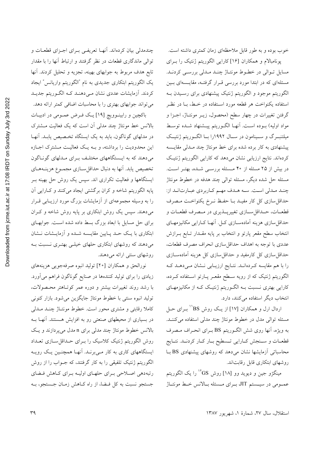پونامبالام و همکاران [۱۶] کارایی الگوریتم ژنتیک را بـرای مسایل تـوالی در خطـوط مونتـاژ چنـد مـدلی بررسـی کردنـد. مسئلهای که در ابتدا مورد بررسی قـرار گرفتـه، مقایـسهای بـین الگوریتم موجود و الگوریتم ژنتیک پیشنهادی برای رسـیدن بـه استفاده یکنواخت هر قطعه مورد اسـتفاده در خـط، بـا در نظـر گرفتن تغییرات در چهار سطح (محصول، زیــر مونتــاژ، اجــزا و مواد اوليه) بــوده اســت. آنهــا الگــوريتم پيــشنهاد شــده توسـط میلتنبـرگ و ســینامون در ســال ۱۹۹۲را بــا الگــوریتم ژنتیــک پیشنهادی به کار برده شده برای خط مونتاژ چند مـدلی مقایــسه کردهاند. نتایج ارزیابی نشان میدهد که کارایی الگوریتم ژنتیک در بیش از ۲۵ مسئله از ۴۰ مـسئله بررســی شــده، بهتـر اسـت. مسئله حل شده دیگر، مسئله توالی چند هدفه در خطوط مونتاژ چنـد مـدلي اسـت. سـه هـدف مهـم كـاربردي عبـارتانـد از: حداقل سازی کل کار مفیـد بـا حفـظ نـرخ یکنواخـت مـصرف قطعــات، حــداقلســـازي تغييرپـــذيري در مــصرف قطعــات و حداقل سازی هزینه آمادهسـازی کـل. آنهـا کـارایی مکانیزمهـای انتخاب سطح مقعر پارتو و انتخاب بر پایه مقـدار تــابع بــرازش عددي با توجه به اهداف حداقل سازي انحراف مصرف قطعات، حداقل سازی کل کارمفید و حداقل سازی کل هزینه آمادهسـازی را با هم مقایسه کردهانـد. نتـایج ارزیـابی نـشان مـیدهـد کـه الگوریتم ژنتیک که از رویه سـطح مقعـر پـارتو اسـتفاده کــرده، کارایی بهتری نسبت بـه الگـوریتم ژنتیـک کـه از مکانیزمهـای انتخاب دیگر استفاده میکنند، دارد.

خوب بوده و به طور قابل ملاحظهای زمان کمتری داشته است.

اردال ارل و همکاران [۱۷] از یک روش BS'' بـرای حـل مسئله توالي مدل در خطوط مونتاژ چند مدلي استفاده مي كننــد. به ويژه، أنها روى شش الگـوريتم BS بـراى انحـراف مـصرف قطعــات و ســنجش كــارايي تــسطيح بــار كــار كردنــد. نتــايج محاسباتی آزمایشها نشان میدهد که روشهای پیشنهادی BS بـا روشهای ابتکاری قابل رقابتاند.

مینگژو جین و دیوید وو [۱۸] روش  $^{\mathbf{V}}\mathbf{G}\mathbf{S}$  را یک الگوریتم عمـومي در سيــستم JIT، بــراي مــسئله بــالانس خـط مونتــاژ

چندمدلی بیان کردهاند. آنهـا تعریفـی بـرای اجـزای قطعـات و توالی ماندگاری قطعات در نظر گرفتند و ارتباط آنها را با مقدار تابع هدف مربوط به جوابهای بهینه، تجزیه و تحلیل کردند. آنها یک الگوریتم ابتکاری جدیدی به نام "الگوریتم واریانس" ایجاد کردند. اَزمایشات عددی نشان مـیدهنـد کـه الگـوریتم جدیـد می تواند جوابهای بهتری را با محاسبات اضافی کمتر ارائه دهد. باکچین و رابینوویچ [۱۹] یک فرض عمـومی در ادبیـات

بالانس خط مونتاژ چند مدلی آن است که یک فعالیت مــشترک در مدلهای گوناگون، باید به یک ایستگاه تخصیص یابـد. آنهـا این محدودیت را برداشته، و بــه یــک فعالیــت مــشترک اجــازه می دهند که به ایستگاههای مختلف بـرای مـدلهای گونـاگون .<br>تخصیص یابد. آنها به دنبال حداقل سـازی مجمـوع هزینــههـای ایستگاهها و فعالیت تکراری اند. سپس یک روش حل بهینه بـر پایه الگوریتم شاخه و کران برگشتی ایجاد میکنند و کارایی آن را به وسیله مجموعهای از آزمایشات بزرگ مورد ارزیـابی قــرار میدهند. سپس یک روش ابتکاری بر پایه روش شاخه و کـران برای حل مسایل با ابعاد بزرگ بسط داده شده است. جوابهای ابتکاری با یـک حــد پــایین مقایــسه شــده و آزمایــشات نــشان میدهند که روشهای ابتکاری حلهای خیلـی بهتـری نــسبت بــه روشهای سنتی ارائه میدهند.

نورالحق و همكاران [٢٠] توليد انبوه صرفهجويي هزينههاي زیادی را برای تولید کنندهها در صنایع گوناگون فراهم میآورد. با رشد روند تغییرات بیشتر و دوره عمر کوتـاهتر محـصولات، توليد انبوه سنتي با خطوط مونتاژ جايگزين مي شود. بازار كنوني کاملا رقابتی و مشتری محور است. خطوط مونتـاژ چنــد مــدلی در بسیاری از محیطهای صنعتی رو به افزایش هـستند. آنهـا بــه بالانس خطوط مونتاژ چند مدل<sub>ی</sub> برای n مدل میپردازند و یک روش الگوریتم ژنتیک کلاسیک را بـرای حـداقل سـازی تعـداد ایستگاههای کاری به کار مـیبرنــد. آنهـا همچنـین یـک رویــه الگوریتم ژنتیک تلفیقی را به کار گرفتند، که جـواب را از روش رتبهدهی اصلاحی برای حلهای اولیـه بـرای کـاهش فـضای جستجو نسبت به کل فیضا، از راه کیاهش زمیان جستجو، بیه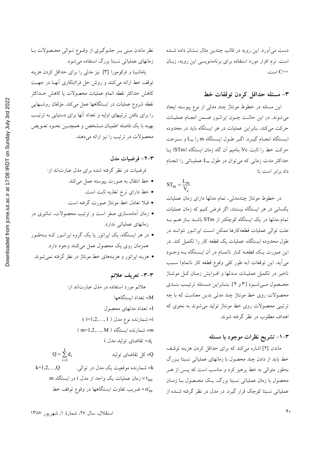دست می آورد. این رویه در قالب چندین مثال نــشان داده شــده است. نرم افزار مورد استفاده برای برنامهنویسی این رویه، زبـان ++C است.

#### ٣- مسئله حداقل كردن توقفات خط

این مسئله در خطوط مونتاژ چند مدلی از نوع پیوسته ایجاد مي شوند. در اين حالت چــون اپراتــور ضــمن انجـام عمليـات حرکت می کند، بنابراین عملیات در هر ایستگاه باید در محدوده ايـستگاه انجـام گيـرد. اگـر طـول ايـستگاه m را Lm و سـرعت حركت خط را ثابت Vc بناميم آن گاه زمان ايستگاه (STm) يــا حداکثر مدت زمانی که می توان در طول Lm عملیـاتی را انجـام داد برابر است با:

$$
ST_m = \frac{L_m}{V_c}
$$

در خطوط مونتاژ چندمدلی، تمام مدلها دارای زمان عملیات یکسانی در هر ایستگاه نیستند. اگر فرض کنیم که زمان عملیات تمام مدلها در یک ایستگاه کوچکتر از STm باشــد بــاز هــم بــه علت توالی عملیات قطعهکارها ممکن است اپراتـور نتوانــد در طول محدوده ایستگاه، عملیات یک قطعه کار را تکمیل کند. در این صورت یک قطعـه کـار ناتمـام در اَن ایــستگاه بــه وجــود می آید. این توقفات (به طور کلی وقوع قطعه کار ناتمام) سـبب تاخیر در تکمیل عملیـات مــدلها و افــزایش زمـان کــل مونتــاژ محصول میشود [۳ و ۴]. بنابراین مسئله ترتیب بندی محصولات روی خط مونتاژ چند مدلی بدین معناست که با چه ترتیبی محصولات روی خط مونتاژ تولید می شوند به نحوی که اهداف مطلوب در نظر گرفته شوند.

#### ۰۳–۱– تشریح نظرات موجود با مسئله

ماندن [۲] اشاره میکند که برای حداقل کردن هزینه توقف خط باید از دادن چند محصول با زمانهای عملیاتی نسبتا بـزرگ بهطور متوالی به خط پرهیز کرد و مناسب است که پــس از هــر محصول با زمان عملیاتی نسبتا بزرگ، یـک محـصول بــا زمــان عملیاتی نسبتا کوچک قرار گیرد. در مدل در نظر گرفته شــده از

نظر ماندن مبنی بـر جلـوگیری از وقـوع تـوالی محـصولات بـا زمانهای عملیاتی نسبتا بزرگ استفاده می شود.

یاماشینا و اوکومورا [۳] نیز مدلی را برای حداقل کردن هزینه توقف خط ارائه میکنند و روش حل فراابتکاری آنهـا در جهـت كاهش حداكثر نقطه اتمام عمليات محصولات يا كاهش حــداكثر نقطه شروع عملیات در ایستگاهها عمل میکند. مؤلفان روشـهایی را برای یافتن ترتیبهای اولیه و تعداد آنها برای دستیابی به ترتیب بهينه با يک فاصله اطمينان مــشخص و همچنــين نحــوه تعــويض محصولات در ترتیب را نیز ارائه میدهند.

#### ۲-۲- فرضیات مدل

فرضیات در نظر گرفته شده برای مدل عبارتاند از:

- خط انتقال به صورت پیوسته عمل می کند.
	- خط دارای نرخ تغذیه ثابت است.
- قبلا تعادل خط مونتاژ صورت گرفته است.
- زمان آمادهسازی صفر است و ترتیب محصولات، تـاثیری در زمانهای عملیاتی ندارد.
- در هر ایستگاه، یک اپراتور یا یک گروه اپراتـور کـه بـهطـور همزمان روی یک محصول عمل میکنند وجود دارد.
	- هزینه اپراتور و هزینههای خط مونتاژ در نظر گرفته نمی شوند.

#### ٣-٣- تعريف علائم

علائم مورد استفاده در مدل عبارتاند از: M= تعداد ايستگاهها I= تعداد مدلهای محصول i= شمارنده نوع مدل ( i=1,2,..., I ) m= شمارنده ایستگاه ( m=1,2,..., M ) i نقاضای تولید مدل i  $Q = \sum_{i=1}^{I} d_i$ Q= کل تقاضای تولید k= شمارنده موقعیت یک مدل در توال<sub>ی</sub>.  $k=1,2,...,Q$ t<sub>im</sub> = زمان عملیات یک واحد از مدل i در ایستگاه m ضريب تفاوت ايستگاهها در وقوع توقف خط $\alpha_{\rm m}^{\prime}$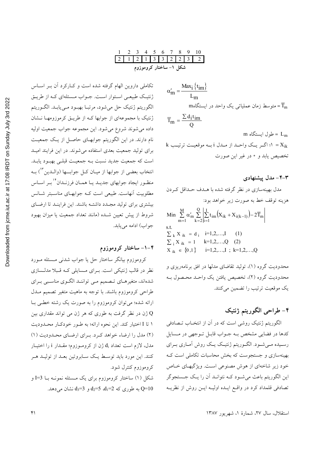| كروموزوم                                                                                                                                                                                                                                                                                                            |
|---------------------------------------------------------------------------------------------------------------------------------------------------------------------------------------------------------------------------------------------------------------------------------------------------------------------|
| تکاملی داروین الهام گرفته شده است و کـارکرد آن بــر اســاس                                                                                                                                                                                                                                                          |
| ژنتیک طبیعـی اسـتوار اسـت. جــواب مــسئلهای کــه از طریــق                                                                                                                                                                                                                                                          |
| $\frac{1}{2}$ $\frac{1}{2}$ $\frac{1}{2}$ $\frac{1}{2}$ $\frac{1}{2}$ $\frac{1}{2}$ $\frac{1}{2}$ $\frac{1}{2}$ $\frac{1}{2}$ $\frac{1}{2}$ $\frac{1}{2}$ $\frac{1}{2}$ $\frac{1}{2}$ $\frac{1}{2}$ $\frac{1}{2}$ $\frac{1}{2}$ $\frac{1}{2}$ $\frac{1}{2}$ $\frac{1}{2}$ $\frac{1}{2}$ $\frac{1}{2}$ $\frac{1}{2}$ |

کـه از طريـق ژنتیک طبیعے استو الگوريتم ژنتيک حل مي شود، مرتبـا بهبـود مـييابـد. الگـوريتم ژنتیک با مجموعهای از جوابها کـه از طریــق کرموزومهــا نــشان داده می شوند شروع می شود. این مجموعه جواب جمعیت اولیه نام دارند. در این الگوریتم جوابهای حاصل از یک جمعیت برای تولید جمعیت بعدی استفاده می شوند. در این فرایند امیـد است که جمعیت جدید نسبت بـه جمعیـت قبلـی بهبود یابـد. انتخاب بعضی از جوابها از میـان کــل جوابـــها (والــدین <sup>۱۳</sup>) بــه منظـور ايجاد جوابهاي جديـد يـا همـان فرزنـدان ٔ`` بـر اسـاس .<br>مطلوبیت آنهاست. طبیعی است کـه جوابهـای مناسـبتر شــانس بیشتری برای تولید مجـدد داشتـه باشند. این فراینـد تا ارضـای شروط از پیش تعیین شـده (مانند تعداد جمعیت یا میزان بهبود جواب) ادامه مي يابد.

#### ۴–۱– ساختار کروموزوم

 $\begin{array}{ccccccccc}\n2 & 3 & 4 & 5 & 6 & 7 & 8 \\
\hline\n1 & 2 & 1 & 3 & 3 & 2 & 2\n\end{array}$ 

شکل ۱– ساختار کروموزوم

کروموزوم بیانگر ساختار حل یا جواب شدنی مسشله مورد نظر در قالب ژنتیکی است. بـرای مـسایلی کـه قـبلا مدلـسازی .<br>شدهاند، متغیرهـای تــصمیم مــی تواننــد الگــوی مناســبی بــرای طراحی کروموزوم باشند. با توجه به ماهیت متغیر تصمیم مـدل ارائه شده؛ می توان کروموزوم را به صورت یک رشته خطبی بـا ژن در نظر گرفت به طوری که هر ژن می تواند مقداری بین  ${\rm Q}$ ۱ تا I اختیار کند. این نحوه ارائه؛ به طـور خودکـار محـدودیت (٢) مدل را ارضاء خواهد كرد. براي ارضاي محدوديت (١) مدل، لازم است تعداد d<sub>i</sub> ژن از کروموزوم؛ مقـدار i را اختیـار کنند. این مورد باید توسط یـک سـابروتین بعـد از تولیـد هـر کروموزوم کنترل شود.

شکل (۱) ساختار کروموزوم برای یک مـسئله نمونـه بـا J=3 و به طوری که 2=1 $d_1$  5=4 $d_2$  و 3=4 $d_3$  نشان می دهد.

$$
\alpha'_{m} = \frac{\text{Max}_{i} \{t_{im}\}}{L_{m}}
$$
  

$$
m_{o} \leq L_{c} \leq L_{c}
$$
  

$$
\overline{T}_{m} = \frac{\sum d_{i} t_{im}}{Q}
$$

m = طول ایستگاه  $L_m$ k = ١؛ اگر یک واحـد از مـدل i بـه موقعیـت ترتیـب k تخصيص يابد و • در غير اين صورت

۴–۴– مدل پیشنهادی مدل بهینهسازی در نظر گرفته شده با هـدف حـداقل کـردن هزينه توقف خط به صورت زير خواهد بود:

Min 
$$
\sum_{m=1}^{M} \alpha'_m \sum_{k=2}^{Q} \left| \sum_{i=1}^{I} t_{im} (X_{ik} + X_{i(k-1)}) - 2 \overline{T}_m \right|
$$
  
s.t.  
 $\sum_{k} X_{ik} = d_i$  i=1,2,...,I (1)  
 $\sum_{i} X_{ik} = 1$  k=1,2,...,Q (2)  
 $X_{ik} \in \{0,1\}$  i=1,2,...,I ; k=1,2,...,Q

محدودیت گروه (۱)، تولید تقاضای مدلها در افق برنامهریزی و محدوديت گروه (٢)، تخصيص يافتن يک واحـد محـصول بـه یک موقعیت ترتیب را تضمین می کنند.

# ۴- طراحي الگوريتم ژنتيک

الگوریتم ژنتیک روشی است که در آن از انتخـاب تــصادفی کدها در فضایی مشخص بـه جـواب قابـل تـوجهی در مـسایل رسیده میشود. الگوریتم ژنتیک یک روش آماری بـرای بهینهسازی و جستجوست که بخش محاسبات تکاملی است ک خود زیر شاخهای از هوش مصنوعی است. ویژگیهای خـاص این الگوریتم باعث میشود کـه نتوانـد آن را یـک جـستجوگر تصادفي قلمداد كرد در واقع ايـده اوليـه ايــن روش از نظريــه

استقلال، سال ٢٧، شمارهٔ ١، شهریور ١٣٨٧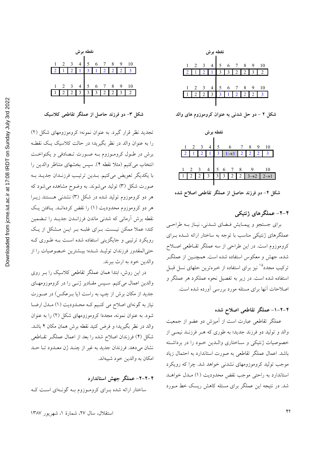| نقطه برش |                |  |   |  |   |  |  |  |    |  |  |  |
|----------|----------------|--|---|--|---|--|--|--|----|--|--|--|
| 1        | $\overline{c}$ |  |   |  | 6 |  |  |  | 10 |  |  |  |
|          |                |  |   |  |   |  |  |  |    |  |  |  |
|          |                |  |   |  |   |  |  |  |    |  |  |  |
| 1        | 2              |  | 4 |  | 6 |  |  |  | 10 |  |  |  |
|          |                |  |   |  |   |  |  |  |    |  |  |  |
|          |                |  |   |  |   |  |  |  |    |  |  |  |

شکل ۳- دو فرزند حاصل از عملگر تقاطعی کلاسیک

تجدید نظر قرار گیرد. به عنوان نمونه؛ کروموزومهای شکل (۲) را به عنوان والد در نظر بگیرید؛ در حالت کلاسیک یک نقطـه برش در طـول کرومـوزوم بـه صـورت تـصادفی و یکنواخـت انتخاب مي كنيم (مثلا نقطه ۴). سپس بخشهاى متناظر والدين را با یکدیگر تعویض میکنیم. بـدین ترتیـب فرزنـدان جدیـد بـه صورت شکل (۳) تولید میشوند. به وضوح مشاهده می شود که هر دو کروموزوم تولید شده در شکل (۳) نشدنی هستند زیــرا هر دو کروموزوم محدودیت (۱) را نقض کردهانـد. پـافتن یـک نقطه برش أرماني كه شدنى ماندن فرزانـدن جديـد را تـضمين کند؛ عملا ممکن نیست. بـرای غلبـه بـر ایـن مـشکل از یـک رویکرد ترتیبی و جایگزینی استفاده شده است بـه طـوری کـه ۔<br>حتی المقدور فرزندان تولیـد شـده؛ بیــشترین خـصوصیات را از والدين خود به ارث بيرند.

در این روش، ابتدا همان عملگر تقاطعی کلاسیک را بـر روی والدین اعمال میکنیم. سـپس مقـادیر ژنــی را در کروموزومهـای جدید از مکان برش از چپ به راست (یا بـرعکس) در صـورت نیاز به گونهای اصلاح می کنیم کـه محـدودیت (۱) مـدل ارضـا شود. به عنوان نمونه، مجددا کروموزومهای شکل (۲) را به عنوان والد در نظر بگیرید؛ و فرض کنید نقطه برش همان مکان ۴ باشد. شکل (۴) فرزندان اصلاح شده را بعد از اعمال عملگـر تقـاطعى نشان مي دهد. فرزندان جديد به غير از چنـد ژن معـدود تـا حـد امكان به والدين خود شبيهاند.

۴-۲-۲- عملگر جهش استاندارد ساختار ارائه شده بـرای کرومـوزوم بـه گونـهای اسـت کـه



شکل ۲ – دو حل شدنی به عنوان کروموزوم های والد

| نقطه برش       |                |                |                |                         |  |               |                                                                                       |                          |                 |   |  |  |  |
|----------------|----------------|----------------|----------------|-------------------------|--|---------------|---------------------------------------------------------------------------------------|--------------------------|-----------------|---|--|--|--|
| $\overline{1}$ | $\overline{2}$ | $\mathcal{R}$  | $\overline{4}$ |                         |  |               | $\begin{array}{ c c c c c }\n\hline\n5 & 6 & 7 \\ \hline\n3 & 1 & 3 & 2\n\end{array}$ | 8                        |                 |   |  |  |  |
|                |                |                |                |                         |  |               |                                                                                       |                          | 2 <sup>1</sup>  | 3 |  |  |  |
|                |                |                |                |                         |  |               |                                                                                       |                          |                 |   |  |  |  |
| $\,1$          | $\overline{c}$ | $\overline{3}$ | $\overline{4}$ |                         |  | $\frac{7}{1}$ | 8                                                                                     |                          |                 |   |  |  |  |
|                |                |                | 3              | $\overline{\mathbf{3}}$ |  |               |                                                                                       | $\overline{\mathcal{P}}$ | $\rightarrow$ 2 |   |  |  |  |
|                |                |                |                |                         |  |               |                                                                                       |                          |                 |   |  |  |  |

شکل ۴- دو فرزند حاصل از عملگر تقاطعی اصلاح شده

۴–۲– عملگر های ژنتیکی

برای جستجو و پیمایش فیضای شدنی، نیاز به طراحی عملگرهای ژنتیکی مناسب با توجه به ساختار ارائه شـده بـرای كروموزوم است. در اين طراحي از سه عملگر تقـاطعي اصـلاح شده، جهش و معکوس استفاده شده است. همچنـین از عملگـر ترکیب مجدد<sup>۱۵</sup> نیز برای استفاده از خبرهترین حلهای نسل قبـل استفاده شده است. در زیر به تفصیل نحوه عملکرد هر عملگر و اصلاحات آنها برای مسئله مورد بررسی آورده شده است.

### ۴-۲-۱- عملگر تقاطعی اصلاح شده

عملگر تقاطعی عبارت است از آمیزش دو عضو از جمعیت والد و تولید دو فرزند جدید؛ به طوری که هـر فرزنـد نیمـی از خصوصیات ژنتیکی و ساختاری واللدین خود را در برداشته باشد. اعمال عملگر تقاطعی به صورت استاندارد به احتمال زیاد موجب تولید کروموزومهای نشدنی خواهد شد. چرا که رویکرد استاندارد به راحتی موجب نقض محدودیت (۱) مـدل خواهـد شد. در نتیجه این عملگر برای مسئله کاهش ریسک خط مـورد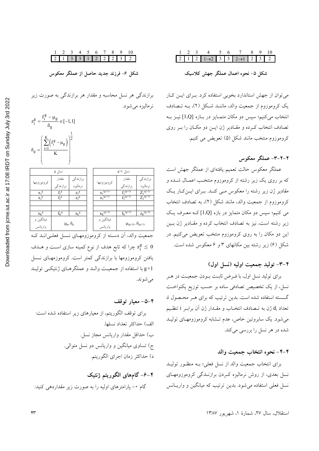# $\begin{array}{cccccccccccccccccc} 1 & 2 & 3 & 4 & 5 & 6 & 7 & 8 & 9 & 10 \\ \hline 2 & 1 & 3 & 3 & 1 & 2 & 2 & 2 & 3 & 2 \end{array}$

شکل ۶- فرزند جدید حاصل از عملگر معکوس

برازندگی هر نسل محاسبه و مقدار هر برازندگی به صورت زیر نرماليزه مي شود.



|            | نسل g       |                      |  |                       | نسل g+1                          |                         |
|------------|-------------|----------------------|--|-----------------------|----------------------------------|-------------------------|
|            | مقدار       | برازندگی             |  |                       | مقدار                            | برازندگی                |
| كروموزومها | برازندگی    | نر ماليز ه           |  | كروموزومها            | بر از ندگی                       | نر ماليزه               |
| $X_1^g$    | $f_1^g$     | $Z_1^g$              |  | $x_1^{(g+1)}$         | $f_1^{(g+1)}$                    | $Z_1^{(g+1)}$           |
| $x_2^g$    | $f_2^g$     | $Z_2^{\  \  \, g}$   |  | $x_2^{\frac{q+1}{2}}$ | $f_2^{(g+1)}$                    | $Z_2^{\frac{(g+1)}{2}}$ |
|            |             |                      |  |                       |                                  |                         |
|            |             |                      |  |                       |                                  |                         |
| $X_K$ g    | $f_k^{\ g}$ | $Z_K$ g              |  | $x_K^{(g+1)}$         | $f_{K}^{(g+1)}$                  | $Z_K^{(g+1)}$           |
| ميانگين و  |             |                      |  | ميانگين و             |                                  |                         |
| واريانس    |             | $\mu_g$ , $\delta_g$ |  | واريانس               | $\mu_{(g+1)}, \, \delta_{(g+1)}$ |                         |
|            |             |                      |  |                       |                                  |                         |

جمعیت والد، آن دسته از کروموزومهای نـسل فعلـیانـد کـه چرا که تابع هدف از نوع کمینه سازی است و هــدف  $z^{\text{g}}_{\text{i}} \leq 0$ یافتن کروموزومها با برازندگی کمتر است. کروموزمهـای نـسل g+1 با استفاده از جمعیت والله و عملگرهای ژنتیکمی تولیـد مې شوند.

۴–۵– معیار توقف برای توقف الگوریتم، از معیارهای زیر استفاده شده است: الف) حداكثر تعداد نسلها. ب) حداقل مقدار واريانس مجاز نسل. ج) تساوی میانگین و واریانس دو نسل متوالی. د) حداكثر زمان اجراي الگوريتم.

۴–۶– گامهای الگوریتم ژنتیک گام ۰- پارامترهای اولیه را به صورت زیر مقداردهی کنید:

# $\begin{array}{ccccccccc}\n1 & 2 & 3 & 4 & 5 & 6 & 7 & 8 & 9 & 10 \\
\hline\n2 & 1 & 2 & 1 & -2 & 3 & 3 & 2 & -1 & 2 & 3 & 2\n\end{array}$

شکل ۵- نحوه اعمال عملگر جهش کلاسیک

می توان از جهش استاندارد بخوبی استفاده کرد. برای این کار یک کروموزوم از جمعیت والد، ماننـد شـکل (۲)، بـه تـصادف انتخاب می کنیم؛ سپس دو مکان متمـایز در بـازه [1,Q] نیــز بــه تصادف انتخاب كـرده و مقـادير ژن ايــن دو مكــان را بــر روى كروموزوم منتخب مانند شكل (۵) تعويض مي كنيم.

#### ۲-۲-۳- عملگر معکوس

عملگر معکوس حالت تعمیم یافتهای از عملگر جهش است که بر روی یک زیر رشته از کروموزوم منتخب اعمـال شــده و مقادیر ژن زیر رشته را معکوس مبی کنـد. بـرای ایـن کـار یـک كروموزوم از جمعيت والد، مانند شكل (٢)، به تصادف انتخاب می کنیم؛ سپس دو مکان متمایز در بازه [1,Q] کـه معـرف یـک زیر رشته است، نیز به تصادف انتخاب کرده و مقـادیر ژن بـین این دو مکان را به روی کروموزوم منتخب تعویض میکنیم. در شکل (۶) زیر رشته بین مکانهای ۳ و ۶ معکوس شده است.

#### ۴–۳– تولید جمعیت اولیه (نسل اول)

برای تولید نسل اول، با فـرض ثابـت بـودن جمعیـت در هـر نسل، از یک تخصیص تصادفی ساده بر حسب توزیع یکنواخت گسسته استفاده شده است. بدین ترتیب که برای هـر محـصول i، تعداد di ژن به تــصادف انتخــاب و مقــدار ژن آن برابـر i تنظـيم می شود. یک سابروتین خاص، عدم تـشابه کروموزومهـای تولیـد شده در هر نسل را بررسی میکند.

#### ۴-۴- نحوه انتخاب جمعیت والد

برای انتخاب جمعیت والد از نسل فعلی؛ بـه منظـور تولیـد نسل بعدی، از روش نرمالیزه کردن برازنـدگی کروموزومهـای نسل فعلی استفاده میشود. بدین ترتیب که میانگین و واریـانس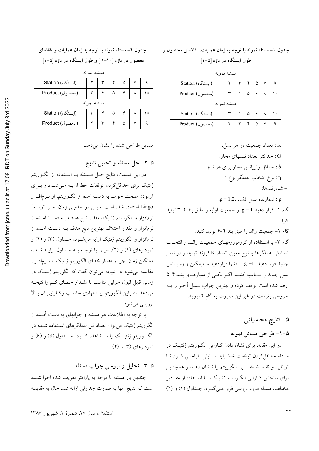جدول ١- مسئله نمونه با توجه به زمان عملیات، تقاضای محصول و طول ایستگاه در بازه [۵–۱]

#### مسئله نمونه (ایستگاه) Station  $\mathbf{\breve{y}}$ ٩  $\Delta$ Product (محصول)  $\mathbf{r}$ ۶  $\wedge$  $\backslash$   $\circ$ مسئله نمونه (ایستگاه) Station  $\mathbf{\breve{r}}$  $\pmb{\mathsf{y}}$  $\hat{\omega}$ ۶  $\backslash$   $\circ$ Product (محصول)  $\Delta$ ٩

K : تعداد جمعیت در هر نسل.

G : حداكثر تعداد نسلهاى مجاز. 8 : حداقل واريانس مجاز براي هر نسل. .r<sub>i</sub> : نرخ انتخاب عملگر نوع i. – شمارندهها:  $g = 1, 2, ..., G$  : شمارنده نسل: g گام ۱- قرار دهید g = 1 و جمعیت اولیه را طبق بند ۴-۳ تولید كنىد. گام ۲- جمعیت والد را طبق بند ۴-۴ تولید کنید. گام ٣- با استفاده از كروموزومهـاي جمعيـت والـد و انتخـاب تصادفی عملگرها با نرخ معین، تعداد K فرزند تولید و در نسل جدید قرار دهید.  $\mathrm{G} = \mathrm{g} + \mathrm{G}$  را قراردهید و میانگین و واریــانس نسل جدید را محاسبه کنیـد. اگـر یکـی از معیارهـای بنـد ۴ـ۵ ارضا شده است توقف كرده و بهترين جواب نـسل آخـر را بـه خروجي بفرست در غير اين صورت به گام ۲ برويد.

# ۵– نتایج محاسباتی

۵–۱– طراحی مسائل نمونه

در این مقاله، برای نشان دادن کارایی الگوریتم ژنتیک در مسئله حداقل كردن توقفات خط بايد مسايلي طراحىي شود تبا توانایی و نقاط ضعف این الگوریتم را نـشان دهــد و همچنــین برای سنجش کـارایی الگـوریتم ژنتیـک، بـا اسـتفاده از مقـادیر مختلف، مسئله مورد بررسی قرار مے گیرد. جـداول (١) و (٢)

### جدول ۲– مسئله نمونه با توجه به زمان عملیات و تقاضای محصول در بازه [۱۰–۱ ] و طول ایستگاه در بازه [۵–۱]

| مسئله نمونه       |             |  |   |   |  |         |  |  |  |  |
|-------------------|-------------|--|---|---|--|---------|--|--|--|--|
| (ایستگاه) Station |             |  |   | ۵ |  |         |  |  |  |  |
| (محصول) Product   |             |  | ۵ |   |  | ۰       |  |  |  |  |
|                   | مسئله نمونه |  |   |   |  |         |  |  |  |  |
| (ايستگاه) Station |             |  |   |   |  | $\circ$ |  |  |  |  |
| (محصول) Product   |             |  |   | ۵ |  |         |  |  |  |  |
|                   |             |  |   |   |  |         |  |  |  |  |

مسایل طراحی شده را نشان میدهد.

## ۵–۲– حل مسئله و تحلیل نتایج

در این قسمت، نتایج حـل مـسئله بــا اسـتفاده از الگــوریتم ژنتیک برای حداقل کردن توقفات خط ارایــه مــیشــود و بــرای ۔<br>آزمودن صحت جواب به دست آمده از الگـوریتم، از نــرمافــزار Lingo استفاده شده است. سپس در جدولی زمان اجـرا توسـط نرمافزار و الگوریتم ژنتیک، مقدار تابع هدف بــه دســتآمــده از نرمافزار و مقدار اختلاف بهترین تابع هدف بــه دســت آمــده از نرمافزار و الگوریتم ژنتیک ارایه میشود، جـداول (۳) و (۴) و نمودارهاي (١) و (٢). سپس با توجـه بــه جــداول ارايــه شــده، میانگین زمان اجرا و مقدار خطای الگوریتم ژنتیک با نــرمافــزار مقایسه میشود. در نتیجه میتوان گفت که الگوریتم ژنتیک در زمانی قابل قبول جوابی مناسب با مقــدار خطــای کــم را نتیجــه میدهد. بنابراین الگوریتم پیــشنهادی مناسـب وکــارایی آن بــالا ارزيابي مي شود.

با توجه به اطلاعات هر مسئله و جوابهای به دست آمـده از الگوریتم ژنتیک می توان تعداد کل عملگرهای استفاده شـده در الگـــوریتم ژنتیـــک را مـــشاهده کــــرد، جــــداول (۵) و (۶) و نمودارهای (۳) و (۴).

۵–۳– تحلیل و بررسی جواب مسئله چندین بار مسئله با توجه به پارامتر تعریف شده اجرا شـده است که نتایج آنها به صورت جداولی ارائه شد. حال به مقایسه

استقلال، سال ۲۷، شمارهٔ ۱، شهریور ۱۳۸۷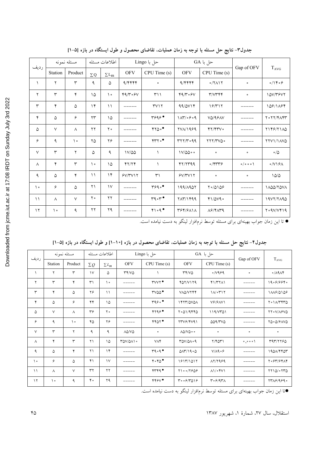| رديف           |          | مسئله نمونه          | اطلاعات مسئله          |                                     |                   | حل با Lingo                   |                             | حل با GA                   | Gap of OFV                    | $T_{AVG}$                                       |
|----------------|----------|----------------------|------------------------|-------------------------------------|-------------------|-------------------------------|-----------------------------|----------------------------|-------------------------------|-------------------------------------------------|
|                | Station  | Product              | $\Sigma Q$             | $\Sigma\mathop{\rm L{}}\nolimits_m$ | <b>OFV</b>        | CPU Time (s)                  | <b>OFV</b>                  | CPU Time (s)               |                               |                                                 |
| $\lambda$      | ٢        | $\mathsf{r}$         | ٩                      | ۵                                   | 9/9999            | $\bullet$                     | 9/9999                      | $0/7$ $\Lambda$            | $\circ$                       | $\circ / \backslash \mathfrak{r} \circ \varphi$ |
| ٢              | ٣        | ۴                    | ۱۵                     | $\backslash$ .                      | 49/8.54           | $\uparrow\uparrow\uparrow$    | 49/8.54                     | Y/VYYY                     | $\bullet$                     | 10V/٣۶V٢                                        |
| $\mathsf{r}$   | ۴        | ۵                    | $\gamma$               | $\setminus$                         |                   | $\Upsilon \vee \Upsilon$      | 99/0V                       | 19/717                     |                               | 109/1194                                        |
| ۴              | ۵        | ۶                    | $\mathsf{Y}\mathsf{Y}$ | ۱۵                                  |                   | $\tau$ ۶۹۶ $\bullet$          | $1\pi/4.99.99$              | VQ/99AV                    |                               | $Y \circ YY/Y \wedge YY$                        |
| ۵              | $\vee$   | Λ                    | $\mathbf{y}$           | $\mathbf{y}$ .                      |                   | 4700                          | $YV_A/Y_999$                | YY/YY                      |                               | Y149/7110                                       |
| ۶              | ٩        | $\backslash$ $\circ$ | ۲۵                     | ۲۶                                  |                   | $\gamma \gamma \circ \bullet$ | $rr77$ , $rr99$             | TYY/TVQ.                   |                               | YYVI/IAVQ                                       |
| $\vee$         | ٣        | ٢                    | ۵                      | ٩                                   | $1V/\Delta\Delta$ |                               | $1V/\Delta\Delta\cdot\cdot$ | $\bullet$                  | $\bullet$                     | $\circ/\Diamond$                                |
| $\wedge$       | ۴        | $\mathsf{r}$         | $\backslash$ o         | ۱۵                                  | YY/Y              | $\lambda$                     | YY/YY99                     | $\sigma$ /۴۳۳۶             | $o/o$ $o$ $\circ$ $\setminus$ | $\circ$ /V\& $\land$                            |
| ٩              | ۵        | $\pmb{\mathsf{y}}$   | $\setminus$            | $\gamma$                            | Y/Y/Y             | $\uparrow$                    | Y/Y/Y                       | $\bullet$                  | $\circ$                       | 10/0                                            |
| $\backslash$ . | ۶        | ۵                    | ۲۱                     | $\mathcal{N}$                       |                   | 4990                          | 199/1907                    | 10/0109                    |                               | 1 AQQ/TQVA                                      |
| $\setminus$    | $\wedge$ | $\vee$               | $\mathsf{Y}$ .         | $\mathbf{y}$                        |                   | $r q \circ r \bullet$         | <b>TAT/1499</b>             | 41/040                     |                               | 19V7/7190                                       |
| $\gamma$       | ه ۱      | ٩                    | $\gamma\,\gamma$       | ۲۹                                  |                   | 41.9                          | 394/9111                    | $\Lambda$ ۶/۴ $\Lambda$ ۳۹ |                               | $Y \circ QV/VY$                                 |

جدول٣- نتایج حل مسئله با توجه به زمان عملیات، تقاضای محصول و طول ایستگاه در بازه [۵-۱]

● تا این زمان جواب بهینهای برای مسئله توسط نرمافزار لینگو به دست نیامده است.

|             |          | مسئله نمونه |                   | اطلاعات مسئله |                                  | حل با Lingo             |                                                  | حل با GA                     |            |                                     |
|-------------|----------|-------------|-------------------|---------------|----------------------------------|-------------------------|--------------------------------------------------|------------------------------|------------|-------------------------------------|
| رديف        | Station  | Product     | $\Sigma Q$        | $\Sigma L_m$  | <b>OFV</b>                       | CPU Time (s)            | <b>OFV</b>                                       | CPU Time (s)                 | Gap of OFV | $T_{AVG}$                           |
|             | ٢        | ٣           | $\mathcal{V}$     | ۵             | YY/VQ                            |                         | YY/VQ                                            | 0/1999                       | $\bullet$  | $\circ/\lambda$ 9 $\wedge$ ۴        |
| ٢           | ٣        | ۴           | $\mathsf{r}'$     | $\mathcal{L}$ |                                  | $\texttt{rvvv} \bullet$ | YQY/V1YQ                                         | $Y\ Y\$                      |            | 19.699996                           |
| ٣           | ۴        | ۵           | ۲۶                | $\setminus$   |                                  | $r$ vaa $\bullet$       | VAQ/VYFF                                         | $1/\sqrt{0}$                 |            | 1118/0108                           |
| ۴           | ۵        | ۶           | ۴۴                | ۱۵            |                                  | $r q \circ \bullet$     | I FTT/QVQA                                       | $V$ ۶/۶ $\Lambda$ V۱         |            | $Y \circ 1/\gamma Y Y \circ \delta$ |
| ۵           | $\vee$   | $\wedge$    | $r_{\mathcal{F}}$ | $\mathbf{y}$  |                                  | 4799                    | $Y \circ Q)/QYYQ$                                | 119/VT01                     |            | 77.V/19VQ                           |
| ۶           | ٩        | $\lambda$   | ۴۵                | ۲۶            |                                  | YYAY                    | YYV9/YY91                                        | 009/70                       |            | 70.0/91VQ                           |
| $\vee$      | ٣        | ۲           | ٩                 | ٩             | $\lambda\Delta/\mathrm{V}\Delta$ | $\circ$                 | $\Lambda\Delta/V\Delta\cdot\cdot$                | $\circ$                      | $\bullet$  | $\bullet$                           |
| Λ           | ۴        | ٣           | ۲۱                | ۱۵            | $T\Delta V/\Delta \Lambda$       | <b>VAY</b>              | $T\Delta V/\Delta\Lambda \cdot 9$                | $Y/Y\Delta Y$                | 0,000      | ٣٩٣/٢٢۶٥                            |
| ٩           | ۵        | ۴           | ۲۱                | $\gamma$      |                                  | $r q \circ q \bullet$   | $\Delta \Lambda \Upsilon / 19 \circ \Delta$      | $V/A9 \circ 9$               |            | $1900/F$ ۴۵۳                        |
| ه ۱         | ۶        | ۵           | ۴۱                | $\mathcal{N}$ |                                  | 4.40                    | 1917/1017                                        | $\lambda$ r/rasa             |            | ۲۰۶۳/۶۴۸۴                           |
| $\setminus$ | $\wedge$ | $\vee$      | $\tau\tau$        | $\mathbf{y}$  |                                  | rrrq                    | $Y \setminus \circ \circ / Y \circ \Delta \circ$ | $\Lambda$ 1/04V1             |            | $YY1Q/\circ YYQ$                    |
| $\gamma$    | ه ۱      | ٩           | ۴۰                | ۲۹            |                                  | YYYY                    | $r \cdot \frac{6}{7}$                            | $r \cdot \epsilon/4r\Lambda$ |            | 7718/9890                           |

جدول۴– نتایج حل مسئله با توجه به زمان عملیات، تقاضای محصول در بازه [۱۰–۱] و طول ایستگاه در بازه [۵–۱]

●تا این زمان جواب بهینهای برای مسئله توسط نرم|فزار لینگو به دست نیامده است.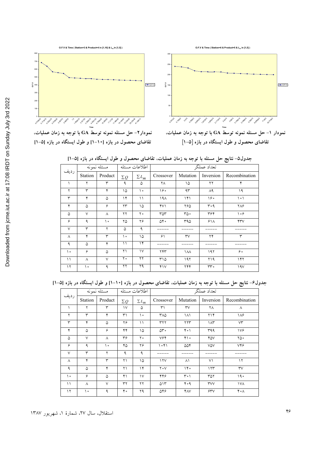



O.F.V & Time (Station=6 & Product=5 & L<sub>m</sub> in [1,5])

نمودار۲– حل مسئله نمونه توسط GA با توجه به زمان عملیات. تقاضای محصول در بازه [۱۰-۱] و طول ایستگاه در بازه [۵-۱]

نمودار ١– حل مسئله نمونه توسط GA با توجه به زمان عملیات. تقاضای محصول و طول ایستگاه در بازه [۵-۱]

جدول۵– نتایج حل مسئله با توجه به زمان عملیات، تقاضای محصول و طول ایستگاه در بازه [۵–۱]

|        |              |             |                        |               |                     |                   | ت ت             |                               |  |  |
|--------|--------------|-------------|------------------------|---------------|---------------------|-------------------|-----------------|-------------------------------|--|--|
|        |              | مسئله نمونه |                        | اطلاعات مسئله | تعداد عملگر         |                   |                 |                               |  |  |
| رديف   | Station      | Product     | $\Sigma Q$             | $\Sigma L_m$  | Crossover           | Mutation          | Inversion       | Recombination                 |  |  |
|        | ٢            | ٣           | ٩                      | ۵             | ٢٨                  | ۱۵                | ۲۲              | ۴                             |  |  |
| ٢      | $\mathsf{r}$ | ۴           | ۱۵                     | ه ۱           | ه ۱۶                | ۹۳                | $\Lambda$ ٩     | ۱۹                            |  |  |
| ٣      | ۴            | ۵           | ۱۴                     | ۱۱            | ۱۹۸                 | 141               | ۱۶۰             | $\backslash \circ \backslash$ |  |  |
| ۴      | ۵            | ۶           | $\mathsf{Y}\mathsf{Y}$ | ۱۵            | $\gamma$            | ۲۶۵               | ۳۰۹             | ۲۸۶                           |  |  |
| ۵      | $\vee$       | $\wedge$    | $\gamma\gamma$         | ه ۲           | ۳۵۳                 | ٥۵٠               | ٣۶۴             | ۱۰۶                           |  |  |
| ۶      | ٩            | ه ۱         | ۲۵                     | ۲۶            | $\Delta \mathbf{y}$ | ۳۹۵               | 51 <sub>A</sub> | $\gamma\gamma\gamma$          |  |  |
| $\vee$ | ٣            | ۲           | ۵                      | ٩             |                     |                   |                 |                               |  |  |
| Λ      | ۴            | ٣           | ه ۱                    | ۱۵            | ۶۱                  | $\forall \forall$ | ۲۴              | ٣                             |  |  |
| ٩      | ۵            | ۴           | ۱۱                     | ۱۴            |                     |                   |                 |                               |  |  |
| ه ۱    | ۶            | ۵           | ۲۱                     | $\vee$        | ۲۴۳                 | $\lambda\lambda$  | ۱۹۲             | ه ۶                           |  |  |
| ۱۱     | ٨            | $\vee$      | ه ۲                    | ۲۲            | ۳۱۵                 | ۱۹۲               | ۲۱۹             | ۱۴۲                           |  |  |
| ۱۲     | ه ۱          | ٩           | ۲۲                     | ۲۹            | Y                   | ۲۴۴               | $rr \circ$      | 19V                           |  |  |

جدول۶– نتایج حل مسئله با توجه به زمان عملیات، تقاضای محصول در بازه [۱۰–۱] و طول ایستگاه در بازه [۵–۱]

|              |         | مسئله نمونه |                     | اطلاعات مسئله | تعداد عملگر            |                        |           |               |  |
|--------------|---------|-------------|---------------------|---------------|------------------------|------------------------|-----------|---------------|--|
| رديف         | Station | Product     | $\Sigma\mathcal{Q}$ | $\Sigma L_m$  | Crossover              | Mutation               | Inversion | Recombination |  |
|              | ۲       | ٣           | ١٧                  | ۵             | ٣١                     | $\mathsf{r}\mathsf{v}$ | ٢٨        | ٨             |  |
| $\mathsf{Y}$ | ٣       | ۴           | ٣١                  | ه ۱           | ۳۸۵                    | ١٨١                    | ۲۱۴       | ۱۸۶           |  |
| ٣            | ۴       | ۵           | ۲۶                  | ۱۱            | ٣٢٢                    | ۲۲۳                    | ۱۸۳       | $V\Upsilon$   |  |
| ۴            | ۵       | ۶           | ۴۴                  | ۱۵            | $\Delta r \cdot$       | ۴۰۱                    | ۳۹۹       | 179           |  |
| ۵            | $\vee$  | $\wedge$    | ۳۶                  | ه ۲           | $V^{\varphi}$          | ه ۴۱                   | ۴۵۷       | ٥۵٧           |  |
| ۶            | ٩       | ه ۱         | ۴۵                  | ۲۶            | 1051                   | ۵۵۴                    | V۵V       | <b>VYS</b>    |  |
| $\vee$       | ٣       | ۲           | ٩                   | ٩             |                        |                        |           |               |  |
| Λ            | ۴       | ٣           | ۲۱                  | ۱۵            | $\gamma \gamma \gamma$ | ۸۱                     | ٧١        | ۱۲            |  |
| ٩            | ۵       | ۴           | ۲۱                  | ۱۴            | $Y \circ V$            | 140                    | 155       | rv            |  |
| ه ۱          | ۶       | ۵           | ۴۱                  | $\vee$        | ۴۴۶                    | ۳۰۱                    | ۳۵۲       | ۱۹۰           |  |
| ۱۱           | ٨       | $\vee$      | ٣٢                  | ۲۲            | ۵۱۳                    | ۴۰۹                    | rwv       | <b>IVA</b>    |  |
| ۱۲           | ه ۱     | ٩           | ۴۰                  | ۲۹            | ۵۴۶                    | YAY                    | 5.50      | ۴۰۸           |  |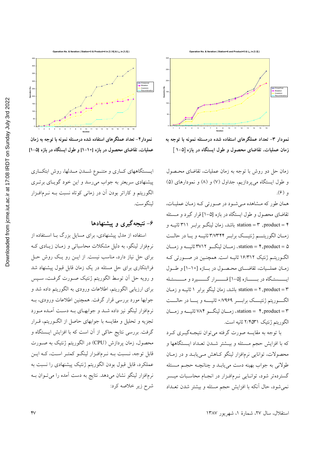

نمودار ۳- تعداد عملگرهای استفاده شده درمسئله نمونه با توجه به زمان عملیات، تقاضای محصول و طول ایستگاه در بازه [۵-۱ ]

زمان حل دو روش با توجه به زمان عملیات، تقاضای محصول و طول ایستگاه میپردازیم، جداول (۷) و (۸) و نمودارهای (۵) و (۴).

همان طور که مشاهده مے شود در صورتی کـه زمـان عملیـات، تقاضای محصول و طول ایستگاه در بازه [۵–۱] قرار گیرد و مـسئله station = ۳ , product = ۴ باشد، زمان لینگــو برابــر ۳۱۱ ثانیــه و زمان الگوريتم ژنتيك برابر ٣/٧٣٢۴ ثانيه ويا در حالت ۵= station = ۴,product، زمــان لینگـــو ۳۷۱۲ ثانیـــه و زمـــان الگـوریتـم ژنتیک ۱۶/۳۱۲ ثانیـه است. همچنـین در صــورتی کـه زمان عمليات، تقاضاي محصول در بازه [١٠-١] وطول ايـــــستگاه در بـــــــازه [۵-۱] قـــــــرار گـــــــيرد و مـــــسئـله \*station = ۲, product = ۳ باشد، زمان لینگو برابر ۱ ثانیـه و زمـان الگـوريتم ژنتيـــک برابـــر ٧٩۶٩ه ثانيــــه ويـــا در حالـــت station = \*, product = ۳، زمـــان لینگـــو ۷۸۴ ثانیــــه و زمـــان الگوريتم ژنتيک ٢/۴۵٣١ ثانيه است.

با توجه به مقایسه صورت گرفته میتوان نتیجهگیـری کـرد كه با افزايش حجم مـسئله و بيــشتر شــدن تعــداد ايــستگاهها و محصولات، توانایی نرمافزار لینگو کـاهش مـی یابـد و در زمـان طولاني به جواب بهينه دست مي يابـد و چنانچـه حجـم مـسئله گستردهتر شود، توانـایی نـرمافـزار در انجـام محاسـبات میــسر نمی شود، حال آنکه با افزایش حجم مسئله و بیشتر شدن تعـداد



نمودار۴– تعداد عملگرهای استفاده شده درمسئله نمونه با توجه به زمان عملیات، تقاضای محصول در بازه [۱۰-۱] و طول ایستگاه در بازه [۵-۱]

ایسستگاههای کساری و متنسوع شسدن مسدلها، روش ابتکساری پیشنهادی سریعتر به جواب میرسد و این خود گویای برتری .<br>الگوریتم و کاراتر بودن آن در زمان<sub>ی</sub> کوتاه نسبت بــه نــرمافــزار لينگو ست.

## ۶– نتیجهگیری و پیشنهادها

استفاده از مدل پیشنهادی، برای مسایل بزرگ بـا اسـتفاده از نرمفزار لینگو، به دلیل مشکلات محاسباتی و زمـان زیـادی کـه برای حل نیاز دارد، مناسب نیست. از ایــن رو یــک روش حــل فراابتکاری برای حل مسئله در یک زمان قابل قبول پیشنهاد شد و رويه حل آن توسط الگوريتم ژنتيک صورت گرفت، سـپس برای ارزیابی الگوریتم، اطلاعات ورودی به الگوریتم داده شد و جوابها مورد بررسی قرار گرفت. همچنین اطلاعات ورودی، بـه نرمافزار لینگو نیز داده شـد و جوابهـای بـه دسـت آمـده مـورد تجزیه و تحلیل و مقایسه با جوابهای حاصل از الگـوریتم، قـرار گرفت. بررسی نتایج حاکی از آن است که با افزایش ایـستگاه و محصول، زمان پردازش (CPU) در الگوریتم ژنتیک به صـورت قابل توجه، نـسبت بـه نـرمافـزار لينگـو كمتـر اسـت، كـه ايـن عملکرد، قابل قبول بودن الگوریتم ژنتیک پیشنهادی را نسبت به نرمافزار لینگو نشان میدهد. نتایج به دست آمده را میتوان ب شرح زير خلاصه كرد: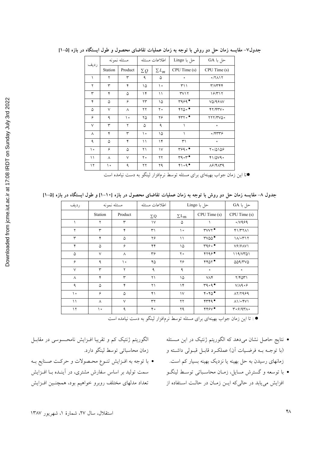| ly 3rd 2022<br>mloaded from jcme.jut.ac.ir at 17:08 IRDT on Sunday Jul |  |
|------------------------------------------------------------------------|--|

δ

| رديف   |         | مسئله نمونه |            | اطلاعات مسئله | حل با Lingo                                | حل با GA                   |
|--------|---------|-------------|------------|---------------|--------------------------------------------|----------------------------|
|        | Station | Product     | $\Sigma Q$ | $\Sigma L_m$  | CPU Time (s)                               | CPU Time (s)               |
| ١      | ٢       | ٣           | ٩          | ۵             | $\bullet$                                  | $0/7$ $\wedge$             |
| ٢      | ٣       | ۴           | ۱۵         | ه ۱           | ۳۱۱                                        | ۳/۷۳۴۴                     |
| ٣      | ۴       | ۵           | ۱۴         | ۱۱            | $\mathsf{r}\mathsf{v}\mathsf{v}\mathsf{r}$ | 19/717                     |
| ۴      | ۵       | ۶           | ۲۳         | ۱۵            | r999                                       | VQ/9.GAV                   |
| ۵      | $\vee$  | Λ           | ۲۲         | ۲۰            | 470.                                       | YY/YY                      |
| ۶      | ٩       | ه ۱         | ۲۵         | ۲۶            | $rrr \circ$ .                              | 777/۳VQ0                   |
| $\vee$ | ٣       | ٢           | ۵          | ٩             |                                            | $\circ$                    |
| ٨      | ۴       | ٣           | ه ۱        | ۱۵            |                                            | $\circ$ /۴۳۳۶              |
| ٩      | ۵       | ۴           | ۱۱         | ۱۴            | ٣١                                         | $\circ$                    |
| ه ۱    | ۶       | ۵           | ۲۱         | ١٧            | $r_{99}$ .                                 | $Y \circ (0) \circ 9$      |
| ۱۱     | ٨       | V           | ه ۲        | ۲۲            | 49.4                                       | 41/040                     |
| ۱۲     | ه ۱     | ٩           | ۲۲         | ۲۹            | 41.9                                       | $\Lambda$ ۶/۴ $\Lambda$ ۳۹ |

جدول۷– مقایسه زمان حل دو روش با توجه به زمان عملیات تقاضای محصول و طول ایستگاه در بازه [۵–۱]

●تا این زمان جواب بهینهای برای مسئله توسط نرمافزار لینگو به دست نیامده است

جدول ٨- مقایسه زمان حل دو روش با توجه به زمان عملیات تقاضای محصول در بازه [١٠-١] و طول ایستگاه در بازه [۵-١]

| رديف     |              | مسئله نمونه | اطلاعات مسئله     |               | حل با Lingo  | حل با GA                           |
|----------|--------------|-------------|-------------------|---------------|--------------|------------------------------------|
|          | Station      | Product     | $\Sigma\,Q$       | $\Sigma L_m$  | CPU Time (s) | CPU Time (s)                       |
|          | ۲            | ٣           | $\vee$            | ۵             |              | 0/1999                             |
| ٢        | $\mathsf{r}$ | ۴           | $\Upsilon$        | ه ۱           | <b>TVVY</b>  | Y1/YYAY                            |
| ٣        | ۴            | ۵           | ۲۶                | ۱۱            | TVQQ ·       | $1/\sqrt{0}$                       |
| ۴        | ۵            | ۶           | ۴۴                | ۱۵            | T990         | V9/8AV                             |
| ۵        | $\vee$       | ٨           | $r_{\mathcal{F}}$ | ه ۲           | 4799         | 119/VT01                           |
| ۶        | ٩            | ه ۱         | ۴۵                | ۲۶            | YYAY         | 009/TV                             |
| $\vee$   | ٣            | ۲           | ٩                 | ٩             | $\circ$      | $\bullet$                          |
| ٨        | ۴            | ٣           | ۲۱                | ۱۵            | <b>VAY</b>   | $Y/Y\Delta Y'$                     |
| ٩        | ۵            | ۴           | $\uparrow$ \      | $\gamma$      | 49.9         | V/A9.69                            |
| ه ۱      | ۶            | ۵           | ۴۱                | $\mathcal{N}$ | 4.40         | $\lambda$ r/ra $99$                |
| ۱۱       | Λ            | $\vee$      | $\mathbf{r}$      | ۲۲            | rrrq         | $\Lambda$ 1/04 $\gamma$            |
| $\gamma$ | ه ۱          | ٩           | ۴۰                | ۲۹            | YYYY         | $r \cdot \epsilon/4r \wedge \cdot$ |

- نتایج حاصل نشان می۵هد که الگوریتم ژنتیک در این مــسئله (با توجـه بــه فرضـيات أن) عملكـرد قابـل قبـولى داشـته و زمانهای رسیدن به حل بهینه یا نزدیک بهینه بسیار کم است.
- با توسعه و گسترش مسایل، زمـان محاسـباتی توسـط لینگـو افزایش می یابد در حالی که ایــن زمــان در حالــت اســتفاده از

الگوریتم ژنتیک کم و تقریبا افــزایش نامحــسوسی در مقابــل زمان محاسباتي توسط لينگو دارد.

• با توجه به افـزايش تنـوع محـصولات و حركـت صـنايع بــه سمت تولید بر اساس سفارش مشتری، در آینـده بــا افــزایش تعداد مدلهاى مختلف روبرو خواهيم بود، همچنــين افــزايش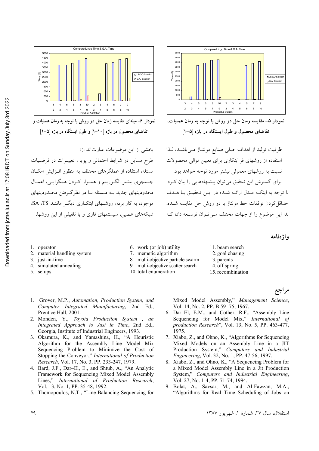

نمودار ۶– میلهای مقایسه زمان حل دو روش با توجه به زمان عملیات و تقاضای محصول در بازه [۱۰-۱] و طول ایستگاه در بازه [۵-۱]

بخشى از اين موضوعات عبارتاند از: طرح مسایل در شرایط احتمالی و پویا ، تغییـرات در فرضـیات مسئله، استفاده از عملگرهای مختلف به منظور افـزایش امکـان جستجوی بیشتر الگوریتم و همـوار کـردن همگرایـی، اعمـال محدودیتهای جدید بـه مـسئله بـا در نظر گـرفتن محـدودیتهای موجود، به کار بردن روشیهای اینکباری دیگیر ماننید SA ،TS شبکههای عصبی، سیستمهای فازی و یا تلفیقی از این روشها.



نمودار ۵– مقايسه زمان حل دو روش با توجه به زمان عمليات. تقاضای محصول و طول ایستگاه در بازه [۵-۱]

ظرفيت توليد از اهداف اصلي صنايع مونتـاژ مـيباشـد، لـذا استفاده از روشهای فراابتکاری برای تعیین توالی محصولات نسبت به روشهای معمولی بیشتر مورد توجه خواهد بود. برای گسترش این تحقیق می توان پیشنهادهایی را بیان کرد. با توجه به اینکـه مـدل ارائـه شـده در ایــن تحقیــق بــا هــدف حداقل كردن توقفات خط مونتاژ با دو روش حل مقايسه شــده، لذا این موضوع را از جهات مختلف مے توان توسعه داد؛ ک

واژه نامه

- 1. operator
- 2. material handling system
- 3. just-in-time
- 4. simulated annealing
- 5. setups
- 6. work (or job) utility
- 7. memetic algorithm
- 8. multi-objective particle swarm
- 9. multi-objective scatter search
- 10. total enumeration
- 11. beam search 12. goal chasing 13. parents
- 14. off spring
- 15. recombination

# مراجع

- 1. Grover, M.P., Automation, Production System, and Computer Integrated Manufacturing, 2nd Ed., Prentice Hall, 2001.
- 2. Monden, Y., Toyota Production System, an Integrated Approach to Just in Time, 2nd Ed., Georgia, Institute of Industrial Engineers, 1993.
- 3. Okamura, K., and Yamashina, H., "A Heuristic Algorithm for the Assembly Line Model Mix Sequencing Problem to Minimize the Cost of Stopping the Conveyor," International of Production Research, Vol. 17, No. 3, PP. 233-247, 1979.
- 4. Bard, J.F., Dar-El, E., and Shtub, A., "An Analytic Framework for Sequencing Mixed Model Assembly Lines," International of Production Research, Vol. 13, No. 1, PP. 35-48, 1992.
- 5. Thomopoulos, N.T., "Line Balancing Sequencing for
- Mixed Model Assembly," Management Science, Vol. 14, No. 2, PP. B 59 -75, 1967.
- 6. Dar-El, E.M., and Cother, R.F., "Assembly Line Sequencing for Model Mix," International of production Research", Vol. 13, No. 5, PP. 463-477, 1975.
- 7. Xiabo, Z., and Ohno, K., "Algorithms for Sequencing Mixed Models on an Assembly Line in a JIT Production System," Computers and Industrial Engineering, Vol. 32, No. 1, PP. 47-56, 1997.
- 8. Xiabo, Z., and Ohno, K., "A Sequencing Problem for a Mixed Model Assembly Line in a Jit Production System," Computers and Industrial Engineering, Vol. 27, No. 1-4, PP. 71-74, 1994.
- 9. Bolat, A., Savsar, M., and Al-Fawzan, M.A., "Algorithms for Real Time Scheduling of Jobs on
	- استقلال، سال ٢٧، شمارهٔ ١، شهریور ١٣٨٧

۴۹